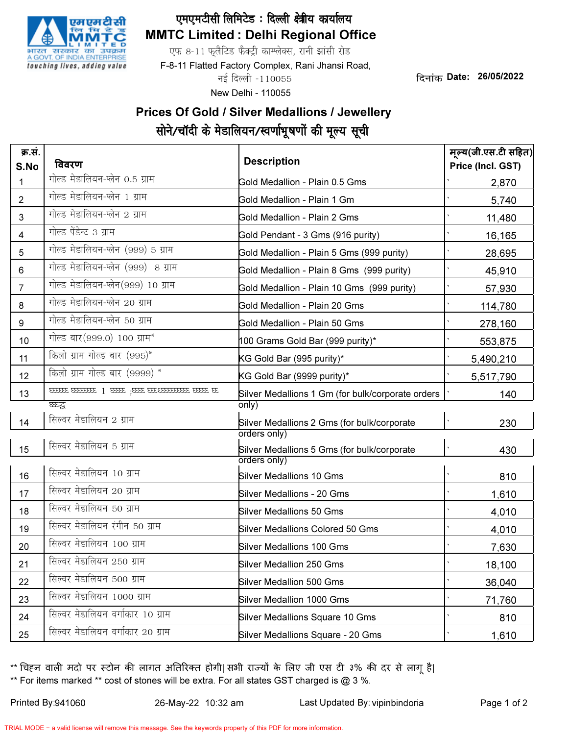

## MMTC Limited : Delhi Regional Office एमएमटीसी लिमिटेड: दिल्ली क्ष्त्रीय कार्यालय

एफ 8-11 फुलैटिड फैक्ट्री काम्प्लेक्स, रानी झांसी रोड

F-8-11 Flatted Factory Complex, Rani Jhansi Road,

नई दिल्ली -110055

New Delhi - 110055

दिनांक Date: 26/05/2022

## Prices Of Gold / Silver Medallions / Jewellery सोने/चॉदी के मेडालियन/स्वर्णाभूषणों की मूल्य सूची

| क्र.सं.<br>S.No | विवरण                              | <b>Description</b>                                          | मूल्य(जी.एस.टी सहित)<br>Price (Incl. GST) |
|-----------------|------------------------------------|-------------------------------------------------------------|-------------------------------------------|
| 1               | गोल्ड मेडालियन-प्लेन 0.5 ग्राम     | Gold Medallion - Plain 0.5 Gms                              | 2,870                                     |
| $\overline{2}$  | गोल्ड मेडालियन-प्लेन 1 ग्राम       | Gold Medallion - Plain 1 Gm                                 | 5,740                                     |
| 3               | गोल्ड मेडालियन-प्लेन 2 ग्राम       | <b>Gold Medallion - Plain 2 Gms</b>                         | 11,480                                    |
| 4               | गोल्ड पेंडेन्ट 3 ग्राम             | Gold Pendant - 3 Gms (916 purity)                           | 16,165                                    |
| 5               | गोल्ड मेडालियन-प्लेन (999) 5 ग्राम | Gold Medallion - Plain 5 Gms (999 purity)                   | 28,695                                    |
| 6               | गोल्ड मेडालियन-प्लेन (999) 8 ग्राम | Gold Medallion - Plain 8 Gms (999 purity)                   | 45,910                                    |
| $\overline{7}$  | गोल्ड मेडालियन-प्लेन(999) 10 ग्राम | Gold Medallion - Plain 10 Gms (999 purity)                  | 57,930                                    |
| 8               | गोल्ड मेडालियन-प्लेन 20 ग्राम      | Gold Medallion - Plain 20 Gms                               | 114,780                                   |
| 9               | गोल्ड मेडालियन-प्लेन 50 ग्राम      | Gold Medallion - Plain 50 Gms                               | 278,160                                   |
| 10              | गोल्ड बार (999.0) 100 ग्राम*       | 100 Grams Gold Bar (999 purity)*                            | 553,875                                   |
| 11              | किलो ग्राम गोल्ड बार (995)*        | KG Gold Bar (995 purity)*                                   | 5,490,210                                 |
| 12              | किलो ग्राम गोल्ड बार (9999) *      | KG Gold Bar (9999 purity)*                                  | 5,517,790                                 |
| 13              |                                    | Silver Medallions 1 Gm (for bulk/corporate orders           | 140                                       |
|                 | घ्छन्द                             | only)                                                       |                                           |
| 14              | सिल्वर मेडालियन 2 ग्राम            | Silver Medallions 2 Gms (for bulk/corporate<br>orders only) | 230                                       |
| 15              | सिल्वर मेडालियन 5 ग्राम            | Silver Medallions 5 Gms (for bulk/corporate<br>orders only) | 430                                       |
| 16              | सिल्वर मेडालियन 10 ग्राम           | <b>Silver Medallions 10 Gms</b>                             | 810                                       |
| 17              | सिल्वर मेडालियन 20 ग्राम           | <b>Silver Medallions - 20 Gms</b>                           | 1,610                                     |
| 18              | सिल्वर मेडालियन 50 ग्राम           | <b>Silver Medallions 50 Gms</b>                             | 4,010                                     |
| 19              | सिल्वर मेडालियन रंगीन 50 ग्राम     | <b>Silver Medallions Colored 50 Gms</b>                     | 4,010                                     |
| 20              | सिल्वर मेडालियन 100 ग्राम          | <b>Silver Medallions 100 Gms</b>                            | 7,630                                     |
| 21              | सिल्वर मेडालियन 250 ग्राम          | Silver Medallion 250 Gms                                    | 18,100                                    |
| 22              | सिल्वर मेडालियन 500 ग्राम          | <b>Silver Medallion 500 Gms</b>                             | 36,040                                    |
| 23              | सिल्वर मेडालियन 1000 ग्राम         | Silver Medallion 1000 Gms                                   | 71,760                                    |
| 24              | सिल्वर मेडालियन वर्गाकार 10 ग्राम  | Silver Medallions Square 10 Gms                             | 810                                       |
| 25              | सिल्वर मेडालियन वर्गाकार 20 ग्राम  | Silver Medallions Square - 20 Gms                           | 1,610                                     |

\*\* For items marked \*\* cost of stones will be extra. For all states GST charged is @ 3 %. \*\* चिहन वाली मदो पर स्टोन की लागत अतिरिक्त होगी| सभी राज्यों के लिए जी एस टी ३% की दर से लागू है|

Printed By:941060 26-May-22 10:32 am Viet Last Updated By: vipinbindoria Page 1 of 2